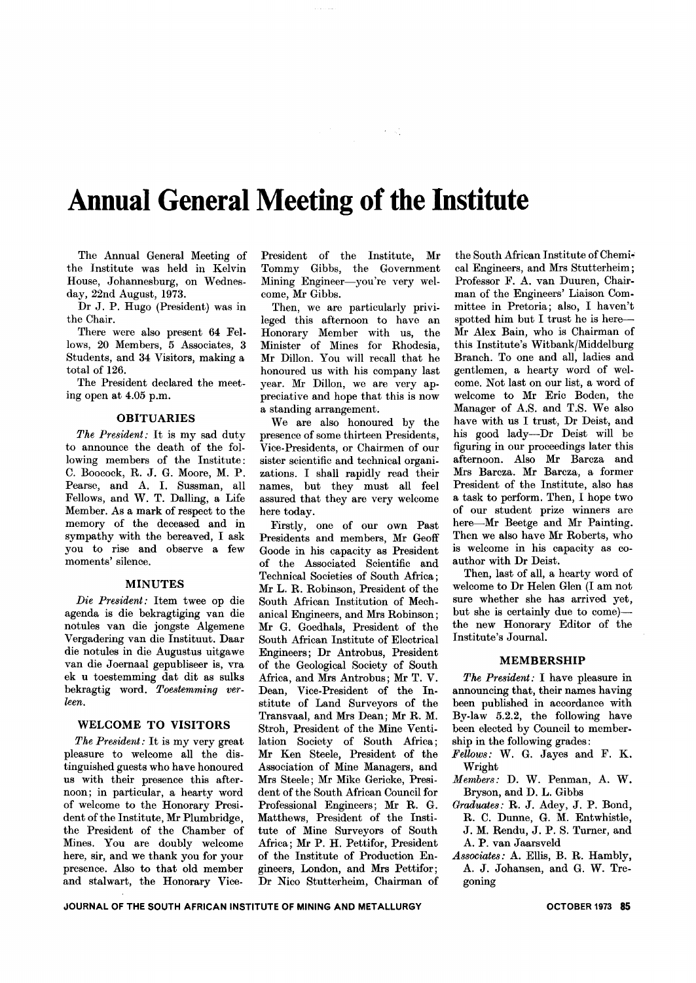# **Annual General Meeting of the Institute**

The Annual General Meeting of the Institute was held in Kelvin House, Johannesburg, on Wednesday, 22nd August, 1973.

Dr J. P. Hugo (President) was in the Chair.

There were also present 64 Fellows, 20 Members, 5 Associates, 3 Students, and 34 Visitors, making a total of 126.

The President declared the meeting open at 4.05 p.m.

#### OBITUARIES

*The President:* It is my sad duty to announce the death of the following members of the Institute: C. Boocock, R. J. G. Moore, M. P. Pearse, and A. I. Sussman, all Fellows, and W. T. Dalling, a Life Member. As a mark of respect to the memory of the deceased and in sympathy with the bereaved, I ask you to rise and observe a few moments' silence.

#### MINUTES

*Die President:* Item twee op die agenda is die bekragtiging van die notules van die jongste Algemene Vergadering van die Instituut. Daar die notules in die Augustus uitgawe van die Joernaal gepubliseer is, vra ek u toestemming dat dit as sulks bekragtig word. *Toestemming verken.*

#### WELCOME TO VISITORS

*The President:* It is my very great pleasure to welcome all the distinguished guests who have honoured us with their presence this afternoon; in particular, a hearty word of welcome to the Honorary President of the Institute, Mr Plumbridge, the President of the Chamber of Mines. You are doubly welcome here, sir, and we thank you for your presence. Also to that old member and stalwart, the Honorary VicePresident of the Institute, Mr Tommy Gibbs, the Government Mining Engineer-you're very welcome, Mr Gibbs.

 $\sim 200$  keV

Then, we are particularly privileged this afternoon to have an Honorary Member with us, the Minister of Mines for Rhodesia, Mr Dillon. You will recall that he honoured us with his company last year. Mr Dillon, we are very appreciative and hope that this is now a standing arrangement.

We are also honoured by the presence of some thirteen Presidents, Vice-Presidents, or Chairmen of our sister scientific and technical organizations. I shall rapidly read their names, but they must all feel assured that they are very welcome here today.

Firstly, one of our own Past Presidents and members, Mr Geoff Goode in his capacity as President of the Associated Scientific and Technical Societies of South Africa; Mr L. R. Robinson, President of the South Mrican Institution of Mechanical Engineers, and Mrs Robinson; Mr G. Goedhals, President of the South African Institute of Electrical Engineers; Dr Antrobus, President of the Geological Society of South Africa, and Mrs Antrobus; Mr T. V. Dean, Vice-President of the Institute of Land Surveyors of the Transvaal, and Mrs Dean; Mr R. M. Stroh, President of the Mine Ventilation Society of South Mrica; Mr Ken Steele, President of the Association of Mine Managers, and Mrs Steele; Mr Mike Gericke, President of the South African Council for Professional Engineers; Mr R. G. Matthews, President of the Institute of Mine Surveyors of South Africa; Mr P. H. Pettifor, President of the Institute of Production Engineers, London, and Mrs Pettifor; Dr Nico Stutterheim, Chairman of

the South African Institute of Chemical Engineers, and Mrs Stutterheim; Professor F. A. van Duuren, Chairman of the Engineers' Liaison Committee in Pretoria; also, I haven't spotted him but I trust he is here-Mr Alex Bain, who is Chairman of this Institute's Witbank/Middelburg Branch. To one and all, ladies and gentlemen, a hearty word of welcome. Not last on our list, a word of welcome to Mr Eric Boden, the Manager of A.S. and T.S. We also have with us I trust, Dr Deist, and his good lady-Dr Deist will be figuring in our proceedings later this afternoon. Also Mr Barcza and Mrs Barcza. Mr Barcza, a former President of the Institute, also has a task to perform. Then, I hope two of our student prize winners are here-Mr Beetge and Mr Painting. Then we also have Mr Roberts, who is welcome in his capacity as coauthor with Dr Deist.

Then, last of all, a hearty word of welcome to Dr Helen Glen (I am not sure whether she has arrived yet, but she is certainly due to come)the new Honorary Editor of the Institute's Journal.

#### MEMBERSHIP

*The President:* I have pleasure in announcing that, their names having been published in accordance with By-law 5.2.2, the following have been elected by Council to membership in the following grades:

- *Fellows:* W. G. Jayes and F. K. Wright
- *Members:* D. W. Penman, A. W. Bryson, and D. L. Gibbs
- *Graduates:* R. J. Adey, J. P. Bond, R. C. Dunne, G. M. Entwhistle, J. M. Rendu, J. P. S. Turner, and A. P. van Jaarsveld
- *Associates:* A. Ellis, B. R. Hambly, A. J. Johansen, and G. W. Tregoning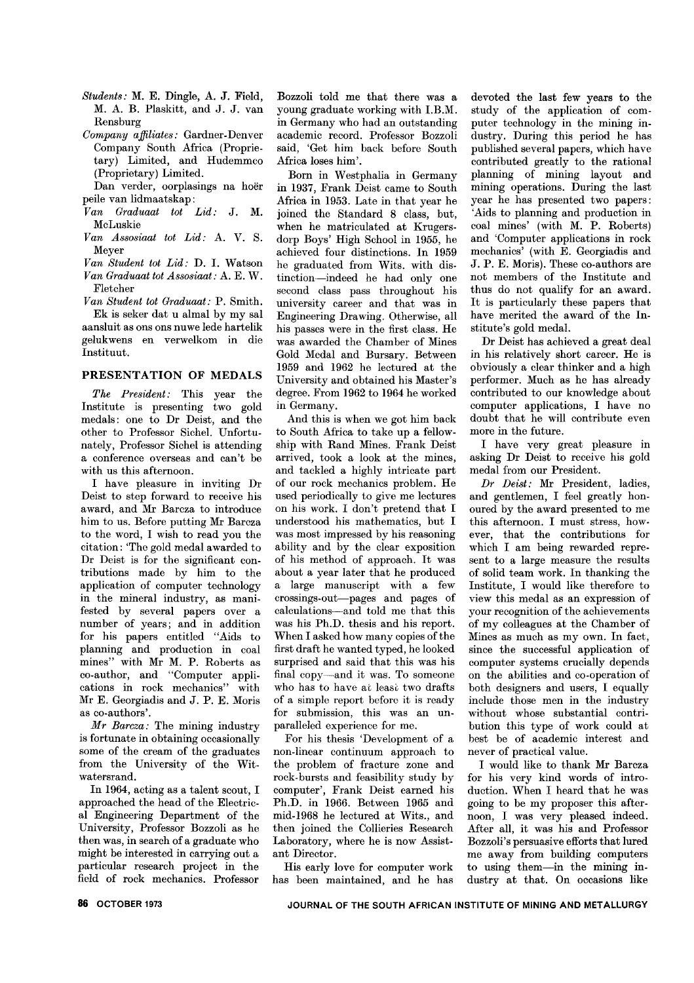- *Students:* M. E. Dingle, A. J. Field, M. A. B. Plaskitt, and J. J. van Rensburg
- *Company affiliates:* Gardner-Denver Company South Africa (Proprietary) Limited, and Hudemmco (Proprietary) Limited.

Dan verder, oorplasings na hoer peile van lidmaatskap:

- *Van Graduaat tot Lid:* J. M. McLuskie
- *Van Assosiaat tot Lid:* A. V. S. Meyer
- *Van Student tot Lid:* D. I. Watson *Van Graduaat tot Assosiaat* : A. E. W. Fletcher

*Van Student tot Graduaat:* P. Smith. Ek is seker dat u almal by my sal

aansluit as ons ons nuwe lede hartelik gelukwens en verwelkom in die Instituut.

## PRESENTATION OF MEDALS

*The President:* This year the Institute is presenting two gold medals: one to Dr Deist, and the other to Professor Sichel. Unfortunately, Professor Sichel is attending a conference overseas and can't be with us this afternoon.

I have pleasure in inviting Dr Deist to step forward to receive his award, and Mr Barcza to introduce him to us. Before putting Mr Barcza to the word, I wish to read you the citation: 'The gold medal awarded to Dr Deist is for the significant contributions made by him to the application of computer technology in the mineral industry, as manifested by several papers over a number of years; and in addition for his papers entitled "Aids to planning and production in coal mines" with Mr M. P. Roberts as co-author, and "Computer applications in rock mechanics" with Mr E. Georgiadis and J. P. E. Moris as co-authors'.

*Mr Barcza:* The mining industry is fortunate in obtaining occasionally some of the cream of the graduates from the University of the Witwatersrand.

In 1964, acting as a talent scout, I approached the head of the Electrical Engineering Department of the University, Professor Bozzoli as he then was, in search of a graduate who might be interested in carrying out a particular research project in the field of rock mechanics. Professor

Bozzoli told me that there was a young graduate working with I.B.M. in Germany who had an outstanding academic record. Professor Bozzoli said, 'Get him back before South Africa loses him'.

Born in Westphalia in Germany in 1937, Frank Deist came to South Africa in 1953. Late in that year he joined the Standard 8 class, but, when he matriculated at Krugersdorp Boys' High School in 1955, he achieved four distinctions. In 1959 he graduated from Wits. with distinction-indeed he had only one second class pass throughout his university career and that was in Engineering Drawing. Otherwise, all his passes were in the first class. He was awarded the Chamber of Mines Gold Medal and Bursary. Between 1959 and 1962 he lectured at the University and obtained his Master's degree. From 1962 to 1964 he worked in Germany.

And this is when we got him back to South Africa to take up a fellowship with Rand Mines. Frank Deist arrived, took a look at the mines, and tackled a highly intricate part of our rock mechanics problem. He used periodically to give me lectures on his work. I don't pretend that I understood his mathematics, but I was most impressed by his reasoning ability and by the clear exposition of his method of approach. It was about a year later that he produced a large manuscript with a few crossings-out-pages and pages of calculations-and told me that this was his Ph.D. thesis and his report. When I asked how many copies of the first draft he wanted typed, he looked surprised and said that this was his final copy-and it was. To someone who has to have at least two drafts of a simple report before it is ready for submission, this was an unparalleled experience for me.

For his thesis 'Development of a non-linear continuum approach to the problem of fracture zone and rock-bursts and feasibility study by computer', Frank Deist earned his Ph.D. in 1966. Between 1965 and mid-1968 he lectured at Wits., and then joined the Collieries Research Laboratory, where he is now Assistant Director.

His early love for computer work has been maintained, and he has

devoted the last few years to the study of the application of computer technology in the mining industry. During this period he has published several papers, which have contributed greatly to the rational planning of mining layout and mining operations. During the last year he has presented two papers: 'Aids to planning and production in coal mines' (with M. P. Roberts) and 'Computer applications in rock mechanics' (with E. Georgiadis and J. P. E. Moris). These co-authors are not members of the Institute and thus do not qualify for an award. It is particularly these papers that have merited the award of the Institute's gold medal.

Dr Deist has achieved a great deal in his relatively short career. He is obviously a clear thinker and a high performer. Much as he has already contributed to our knowledge about computer applications, I have no doubt that he will contribute even more in the future.

I have very great pleasure in asking Dr Deist to receive his gold medal from our President.

*Dr Deist:* Mr President, ladies, and gentlemen, I feel greatly honoured by the award presented to me this afternoon. I must stress, however, that the contributions for which I am being rewarded represent to a large measure the results of solid team work. In thanking the Institute, I would like therefore to view this medal as an expression of your recognition of the achievements of my colleagues at the Chamber of Mines as much as my own. In fact, since the successful application of computer systems crucially depends on the abilities and co-operation of both designers and users, I equally include those men in the industry without whose substantial contribution this type of work could at best be of academic interest and never of practical value.

I would like to thank Mr Barcza for his very kind words of introduction. When I heard that he was going to be my proposer this afternoon, I was very pleased indeed. After all, it was his and Professor Bozzoli's persuasive efforts that lured me away from building computers to using them-in the mining industry at that. On occasions like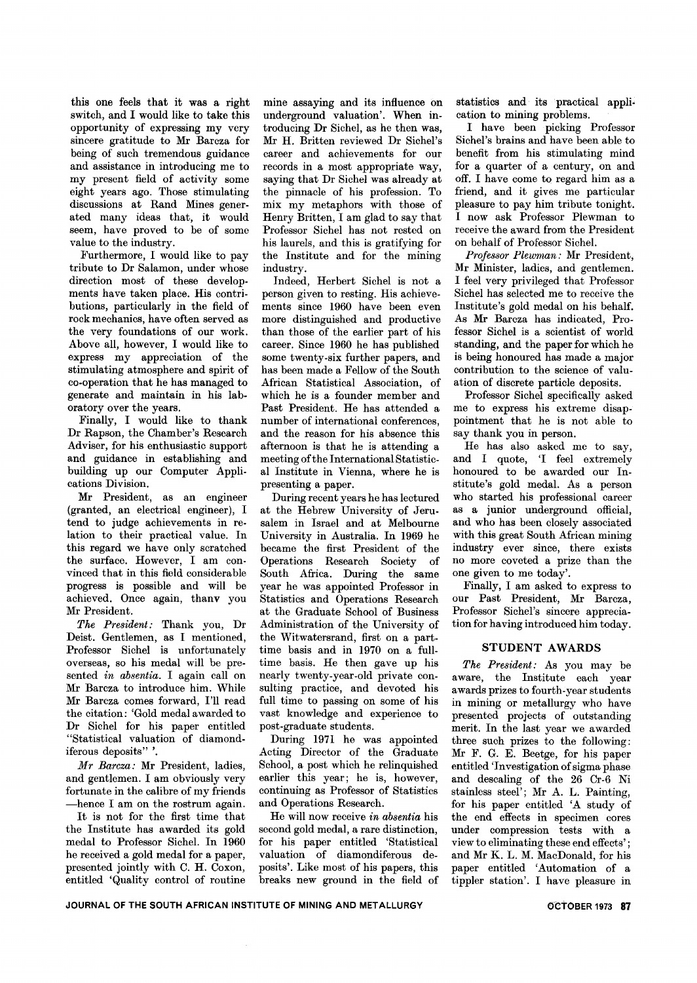this one feels that it was a right switch, and I would like to take this opportunity of expressing my very sincere gratitude to Mr Barcza for being of such tremendous guidance and assistance in introducing me to my present field of activity some eight years ago. Those stimulating discussions at Rand Mines generated many ideas that, it would seem, have proved to be of some value to the industry.

Furthermore, I would like to pay tribute to Dr Salamon, under whose direction most of these developments have taken place. His contributions, particularly in the field of rock mechanics, have often served as the very foundations of our work. Above all, however, I would like to express my appreciation of the stimulating atmosphere and spirit of co-operation that he has managed to generate and maintain in his laboratory over the years.

Finally, I would like to thank Dr Rapson, the Chamber's Research Adviser, for his enthusiastic support and guidance in establishing and building up our Computer Applications Division.

Mr President, as an engineer (granted, an electrical engineer), I tend to judge achievements in relation to their practical value. In this regard we have only scratched the surface. However, I am convinced that in this field considerable progress is possible and will be achieved. Once again, thanv you Mr President.

*The President:* Thank you, Dr Deist. Gentlemen, as I mentioned, Professor Sichel is unfortunately overseas, so his medal will be presented *in absentia.* I again call on Mr Barcza to introduce him. While Mr Barcza comes forward, I'll read the citation: 'Gold medal awarded to Dr Sichel for his paper entitled "Statistical valuation of diamondiferous deposits" '.

*M r Barcza:* Mr President, ladies, and gentlemen. I am obviously very fortunate in the calibre of my friends -hence I am on the rostrum again.

It is not for the first time that the Institute has awarded its gold medal to Professor Sichel. In 1960 he received a gold medal for a paper, presented jointly with C. H. Coxon, entitled 'Quality control of routine

mine assaying and its influence on underground valuation'. When introducing Dr Sichel, as he then was, Mr H. Britten reviewed Dr Sichel's career and achievements for our records in a most appropriate way, saying that Dr Sichel was already at the pinnacle of his profession. To mix my metaphors with those of Henry Britten, I am glad to say that Professor Sichel has not rested on his laurels, and this is gratifying for the Institute and for the mining industry.

Indeed, Herbert Sichel is not a person given to resting. His achievements since 1960 have been even more distinguished and productive than those of the earlier part of his career. Since 1960 he has published some twenty -six further papers, and has been made a Fellow of the South African Statistical Association, of which he is a founder member and Past President. He has attended a number of international conferences, and the reason for his absence this afternoon is that he is attending a meeting of the International Statistical Institute in Vienna, where he is presenting a paper.

During recent years he has lectured at the Hebrew University of Jerusalem in Israel and at Melbourne University in Australia. In 1969 he became the first President of the Operations Research Society of South Africa. During the same year he was appointed Professor in Statistics and Operations Research at the Graduate School of Business Administration of the University of the Witwatersrand, first on a parttime basis and in 1970 on a fulltime basis. He then gave up his nearly twenty-year-old private consulting practice, and devoted his full time to passing on some of his vast knowledge and experience to post-graduate students.

During 1971 he was appointed Acting Director of the Graduate School, a post which he relinquished earlier this year; he is, however, continuing as Professor of Statistics and Operations Research.

He will now receive *in absentia* his second gold medal, a rare distinction, for his paper entitled 'Statistical valuation of diamondiferous deposits'. Like most of his papers, this breaks new ground in the field of statistics and its practical application to mining problems.

I have been picking Professor Sichel's brains and have been able to benefit from his stimulating mind for a quarter of a century, on and off. I have come to regard him as a friend, and it gives me particular pleasure to pay him tribute tonight. I now ask Professor Plewman to receive the award from the President on behalf of Professor Sichel.

*Professor Plewman:* Mr President, Mr Minister, ladies, and gentlemen. I feel very privileged that Professor Sichel has selected me to receive the Institute's gold medal on his behalf. As Mr Barcza has indicated, Professor Sichel is a scientist of world standing, and the paper for which he is being honoured has made a major contribution to the science of valuation of discrete particle deposits.

Professor Sichel specifically asked me to express his extreme disappointment that he is not able to say thank you in person.

He has also asked me to say, and I quote, 'I feel extremely honoured to be awarded our Institute's gold medal. As a person who started his professional career as a junior underground official, and who has been closely associated with this great South African mining industry ever since, there exists no more coveted a prize than the one given to me today'.

Finally, I am asked to express to our Past President, Mr Barcza, Professor Sichel's sincere appreciation for having introduced him today.

## STUDENT AWARDS

*The President:* As you may be aware, the Institute each year awards prizes to fourth-year students in mining or metallurgy who have presented projects of outstanding merit. In the last year we awarded three such prizes to the following: Mr F. G. E. Beetge, for his paper entitled 'Investigation of sigma phase and descaling of the 26 Cr-6 Ni stainless steel'; Mr A. L. Painting, for his paper entitled 'A study of the end effects in specimen cores under compression tests with a view to eliminating these end effects'; and Mr K. L. M. MacDonald, for his paper entitled 'Automation of a tippler station'. I have pleasure in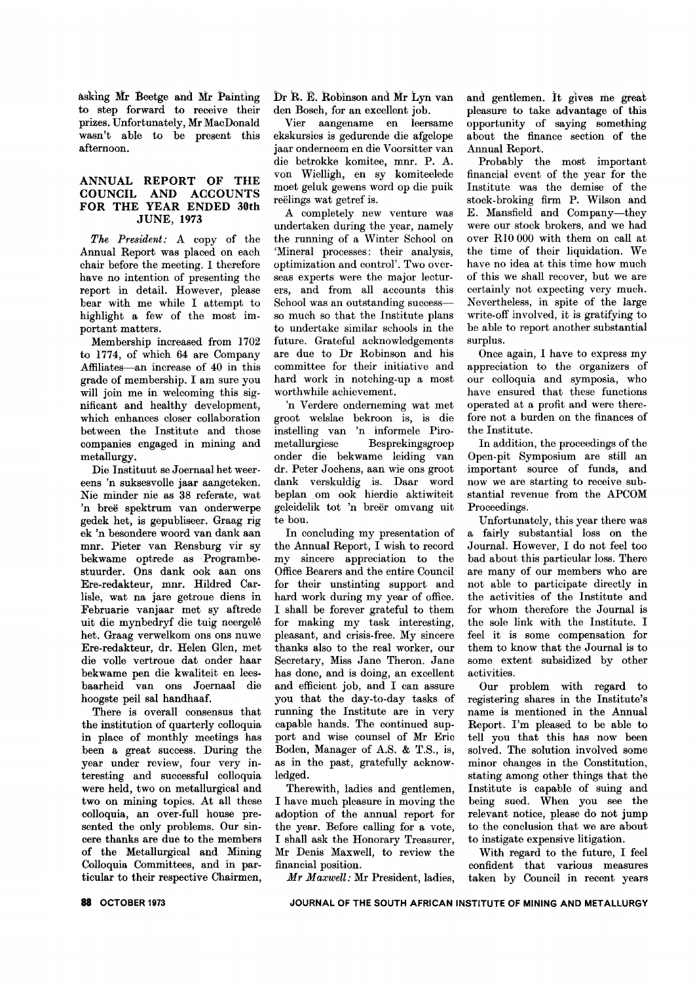asking Mr Beetge and Mr Painting to step forward to receive their prizes. Unfortunately, Mr MacDonald wasn't able to be present this afternoon.

#### ANNUAL REPORT OF THE COUNCIL AND ACCOUNTS FOR THE YEAR ENDED 30th JUNE, 1973

*The President:* A copy of the Annual Report was placed on each chair before the meeting. I therefore have no intention of presenting the report in detail. However, please bear with me while I attempt to highlight a few of the most important matters.

Membership increased from 1702 to 1774, of which 64 are Company Affiliates-an increase of 40 in this grade of membership. I am sure you will join me in welcoming this significant and healthy development, which enhances closer collaboration between the Institute and those companies engaged in mining and metallurgy.

Die Instituut se Joernaal het weereens 'n suksesvolle jaar aangeteken. Nie minder nie as 38 referate, wat 'n breë spektrum van onderwerpe gedek het, is gepubliseer. Graag rig ek 'n besondere woord van dank aan mnr. Pieter van Rensburg vir sy bekwame optrede as Programbestuurder. Ons dank ook aan ons Ere-redakteur, mnr. Hildred Carlisle, wat na jare getroue diens in Februarie vanjaar met sy aftrede uit die mynbedryf die tuig neergele het. Graag verwelkom ons ons nuwe Ere-redakteur, dr. Helen Glen, met die volle vertroue dat onder haar bekwame pen die kwaliteit en leesbaarheid van ons Joernaal die hoogste peil sal handhaaf.

There is overall consensus that the institution of quarterly colloquia in place of monthly meetings has been a great success. During the year under review, four very interesting and successful colloquia were held, two on metallurgical and two on mining topics. At all these colloquia, an over-full house presented the only problems. Our sincere thanks are due to the members of the Metallurgical and Mining Colloquia Committees, and in particular to their respective Chairmen,

Dr R. E. Robinson and Mr Lyn van den Bosch, for an excellent job.

Vier aangename en leersame ekskursies is gedurende die afgelope jaar onderneem en die Voorsitter van die betrokke komitee, mnr. P. A. von Wielligh, en sy komiteelede moet geluk gewens word op die puik reelings wat getref is.

A completely new venture was undertaken during the year, namely the running of a Winter School on 'Mineral processes: their analysis, optimization and control'. Two overseas experts were the major lecturers, and from all accounts this School was an outstanding successso much so that the Institute plans to undertake similar schools in the future. Grateful acknowledgements are due to Dr Robinson and his committee for their initiative and hard work in notching-up a most worthwhile achievement.

'n Verdere onderneming wat met groot welslae bekroon is, is die instelling van 'n informele Pirometallurgiese Besprekingsgroep onder die bekwame leiding van dr. Peter Jochens, aan wie ons groot dank verskuldig is. Daar word beplan om ook hierdie aktiwiteit geleidelik tot 'n breer omvang uit te bou.

In concluding my presentation of the Annual Report, I wish to record my sincere appreciation to the Office Bearers and the entire Council for their unstinting support and hard work during my year of office. I shall be forever grateful to them for making my task interesting, pleasant, and crisis-free. My sincere thanks also to the real worker, our Secretary, Miss Jane Theron. Jane has done, and is doing, an excellent and efficient job, and I can assure you that the day-to-day tasks of running the Institute are in very capable hands. The continued support and wise counsel of Mr Eric Boden, Manager of A.S. & T.S., is, as in the past, gratefully acknowledged.

Therewith, ladies and gentlemen, I have much pleasure in moving the adoption of the annual report for the year. Before calling for a vote, I shall ask the Honorary Treasurer, Mr Denis Maxwell, to review the financial position.

*Mr Maxwell:* Mr President, ladies,

and gentlemen. it gives me great pleasure to take advantage of this opportunity of saying something about the finance section of the Annual Report.

Probably the most important financial event of the year for the Institute was the demise of the stock-broking firm P. Wilson and E. Mansfield and Company-they were our stock brokers, and we had over RIO 000 with them on call at the time of their liquidation. We have no idea at this time how much of this we shall recover, but we are certainly not expecting very much. Nevertheless, in spite of the large write-off involved, it is gratifying to be able to report another substantial surplus.

Once again, I have to express my appreciation to the organizers of our colloquia and symposia, who have ensured that these functions operated at a profit and were therefore not a burden on the finances of the Institute.

In addition, the proceedings of the Open-pit Symposium are still an important source of funds, and now we are starting to receive substantial revenue from the APCOM Proceedings.

Unfortunately, this year there was a fairly substantial loss on the Journal. However, I do not feel too bad about this particular loss. There are many of our members who are not able to participate directly in the activities of the Institute and for whom therefore the Journal is the sole link with the Institute. I feel it is some compensation for them to know that the Journal is to some extent subsidized by other activities.

Our problem with regard to registering shares in the Institute's name is mentioned in the Annual Report. I'm pleased to be able to tell you that this has now been solved. The solution involved some minor changes in the Constitution, stating among other things that the Institute is capable of suing and being sued. When you see the relevant notice, please do not jump to the conclusion that we are about to instigate expensive litigation.

With regard to the future, I feel confident that various measures taken by Council in recent years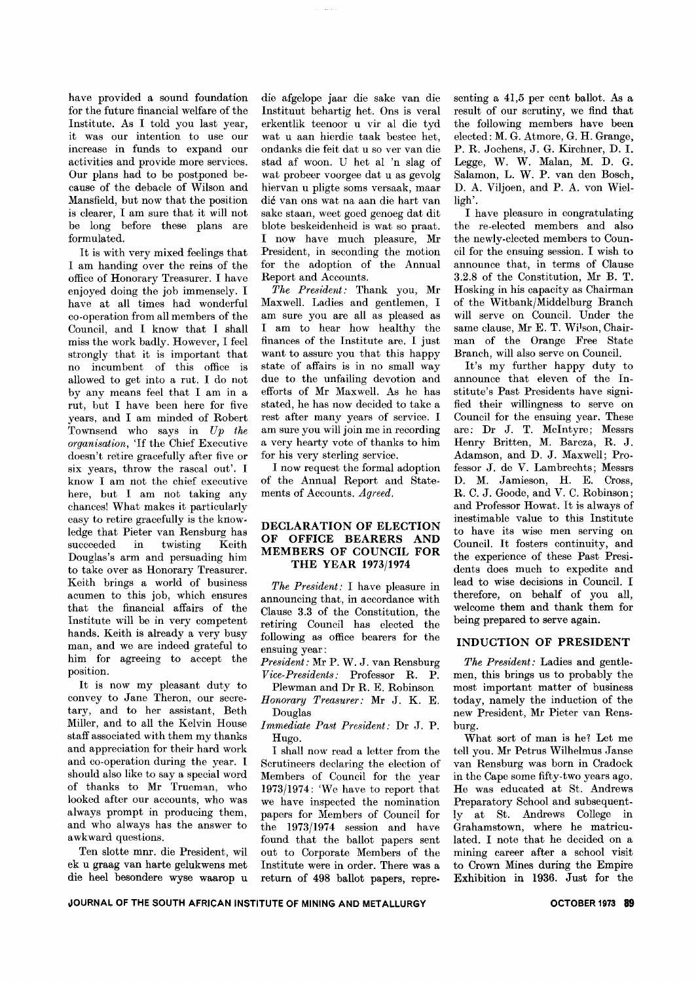have provided a sound foundation for the future financial welfare of the Institute. As I told you last year, it was our intention to use our increase in funds to expand our activities and provide more services. Our plans had to be postponed because of the debacle of Wilson and Mansfield, but now that the position is clearer, I am sure that it will not be long before these plans are formulated.

It is with very mixed feelings that I am handing over the reins of the office of Honorary Treasurer. I have enjoyed doing the job immensely. I have at all times had wonderful co-operation from all members of the Council, and I know that I shall miss the work badly. However, I feel strongly that it is important that no incumbent of this office is allowed to get into a rut. I do not by any means feel that I am in a rut, hut I have been here for five years, and I am minded of Robert Townsend who says in *Up the organisation,* 'If the Chief Executive doesn't retire gracefully after five or six years, throw the rascal out'. I know I am not the chief executive here, but I am not taking any chances! What makes it particularly easy to retire gracefully is the know. ledge that Pieter van Rensburg has succeeded in twisting Keith Douglas's arm and persuading him to take over as Honorary Treasurer. Keith brings a world of business acumen to this job, which ensures that the financial affairs of the Institute will be in very competent hands. Keith is already a very busy man, and we are indeed grateful to him for agreeing to accept the position.

It is now my pleasant duty to convey to Jane Theron, our secretary, and to her assistant, Beth Miller, and to all the Kelvin House staff associated with them my thanks and appreciation for their hard work and co-operation during the year. I should also like to say a special word of thanks to Mr Trueman, who looked after our accounts, who was always prompt in producing them, and who always has the answer to awkward questions.

Ten slotte mnr. die President, wil ek u graag van harte gelukwens met die heel besondere wyse waarop u die afgelope jaar die sake van die Instituut behartig het. Ons is veral erkentlik teenoor u vir al die tyd wat u aan hierdie taak bestee het, ondanks die feit dat u so ver van die stad af woon. U het al 'n slag of wat probeer voorgee dat u as gevolg hiervan u pligte soms versaak, maar die van ons wat na aan die hart van sake staan, weet goed genoeg dat dit blote beskeidenheid is wat so praat. I now have much pleasure, Mr President, in seconding the motion for the adoption of the Annual Report and Accounts.

*The President:* Thank you, Mr Maxwell. Ladies and gentlemen, I am sure you are all as pleased as I am to hear how healthy the finances of the Institute are. I just want to assure you that this happy state of affairs is in no small way due to the unfailing devotion and efforts of Mr Maxwell. As he has stated, he has now decided to take a rest after many years of service. I am sure you will join me in recording a very hearty vote of thanks to him for his very sterling service.

I now request the formal adoption of the Annual Report and Statements of Accounts. *Agreed.*

#### **DECLARATION OF ELECTION OF OFFICE BEARERS AND MEMBERS OF COUNCIL FOR THE YEAR 1973/1974**

*The President:* I have pleasure in announcing that, in accordance with Clause 3.3 of the Constitution, the retiring Council has elected the following as office bearers for the ensuing year:

*President:* Mr P. W. J. van Rensburg *Vice-Presidents:* Professor R. P.

Plewman and Dr R. E. Robinson *Honorary Treasurer:* Mr J. K. E. Douglas

*Immediate Past President:* Dr J. P. Hugo.

I shall now read a letter from the Scrutineers declaring the election of Members of Council for the year 1973/1974: 'We have to report that we have inspected the nomination papers for Members of Council for the 1973/1974 session and have found that the ballot papers sent out to Corporate Members of the Institute were in order. There was a return of 498 ballot papers, repre.

senting a 41,5 per cent ballot. As a result of our scrutiny, we find that the following members have been elected: M. G. Atmore, G. H. Grange, P. R. Jochens, J. G. Kirchner, D. 1. Legge, W. W. Malan, M. D. G. Salamon, L. W. P. van den Bosch, D. A. Viljoen, and P. A. von Wielligh'.

I have pleasure in congratulating the re-elected members and also the newly-elected members to Council for the ensuing session. I wish to announce that, in terms of Clause 3.2.8 of the Constitution, Mr B. T. Hosking in his capacity as Chairman of the Witbank/Middelburg Branch will serve on Council. Under the same clause, Mr E. T. Wilson, Chairman of the Orange Free State Branch, will also serve on Council.

It's my further happy duty to announce that eleven of the Institute's Past Presidents have signified their willingness to serve on Council for the ensuing year. These are: Dr J. T. McIntyre; Messrs Henry Britten, M. Barcza, R. J. Adamson, and D. J. Maxwell; Professor J. de V. Lambrechts; Messrs D. M. Jamieson, H. E. Cross, R. C. J. Goode, and V. C. Robinson; and Professor Howat. It is always of inestimable value to this Institute to have its wise men serving on Council. It fosters continuity, and the experience of these Past Presidents does much to expedite and lead to wise decisions in Council. I therefore, on behalf of you all, welcome them and thank them for being prepared to serve again.

#### **INDUCTION OF PRESIDENT**

*The President:* Ladies and gentlemen, this brings us to probably the most important matter of business today, namely the induction of the new President, Mr Pieter van Rensburg.

What sort of man is he? Let me tell you. Mr Petrus Wilhelmus Janse van Rensburg was born in Cradock in the Cape some fifty-two years ago. He was educated at St. Andrews Preparatory School and subsequently at St. Andrews College in Grahamstown, where he matriculated. I note that he decided on a mining career after a school visit to Crown Mines during the Empire Exhibition in 1936. Just for the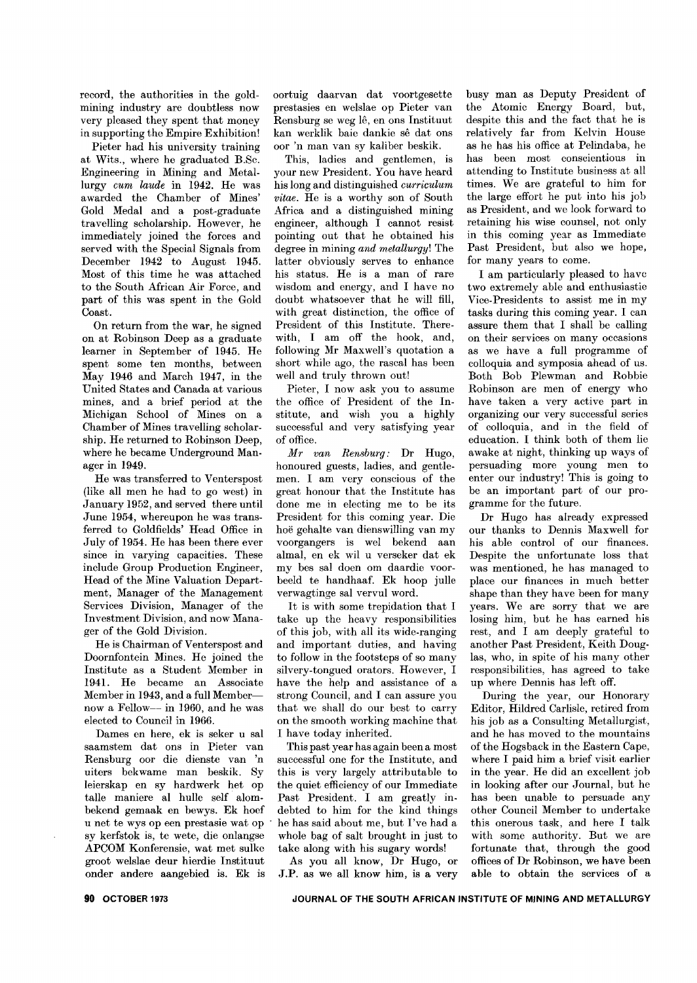record, the authorities in the goldmining industry are doubtless now very pleased they spent that money in supporting the Empire Exhibition!

Pieter had his university training at Wits., where he graduated B.8c. Engineering in Mining and Metallurgy *cum laude* in 1942. He was awarded the Chamber of Mines' Gold Medal and a post-graduate travelling scholarship. However, he immediately joined the forces and served with the Special Signals from December 1942 to August 1945. Most of this time he was attached to the South African Air Force, and part of this was spent in the Gold Coast.

On return from the war, he signed on at Robinson Deep as a graduate learner in September of 1945. He spent some ten months, between May 1946 and March 1947, in the United States and Canada at various mines, and a brief period at the Michigan School of Mines on a Chamber of Mines travelling scholarship. He returned to Robinson Deep, where he became Underground Manager in 1949.

He was transferred to Venterspost (like all men he had to go west) in January 1952, and served there until June 1954, whereupon he was transferred to Goldfields' Head Office in July of 1954. He has been there ever since in varying capacities. These include Group Production Engineer, Head of the Mine Valuation Department, Manager of the Management Services Division, Manager of the Investment Division, and now Manager of the Gold Division.

He is Chairman of Venterspost and Doornfontein Mines. He joined the Institute as a Student Member in 1941. He became an Associate Member in 1943, and a full Membernow a Fellow-- in 1960, and he was elected to Council in 1966.

Dames en here, ek is seker u sal saamstem dat ons in Pieter van Rensburg oor die dienste van 'n uiters bekwame man beskik. Sy leierskap en sy hardwerk het op talle maniere al hulle self alombekend gemaak en bewys. Ek hoef <sup>u</sup> net te wys op een prestasie wat op . sy kerfstok is, te wete, die onlangse APCOM Konferensie, wat met sulke groot welslae deur hierdie Instituut onder andere aangebied is. Ek is

oortuig daarvan dat voortgesette prestasies en welslae op Pieter van Rensburg se weg lê, en ons Instituut kan werklik baie dankie se dat ons oor 'n man van sy kaliber beskik.

This, ladies and gentlemen, is your new President. You have heard his long and distinguished *c'urriculum vitae.* He is a worthy son of South Africa and a distinguished mining engineer, although I cannot resist pointing out that he obtained his degree in mining *and metallurgy!* The latter obviously serves to enhance his status. He is a man of rare wisdom and energy, and I have no doubt whatsoever that he will fill, with great distinction, the office of President of this Institute. Therewith, I am off the hook, and, following Mr Maxwell's quotation a short while ago, the rascal has been well and truly thrown out!

Pieter, I now ask you to assume the office of President of the Institute, and wish you a highly successful and very satisfying year of office.

*Mr van Rensburg:* Dr Hugo, honoured guests, ladies, and gentlemen. I am very conscious of the great honour that the Institute has done me in electing me to be its President for this coming year. Die hoe gehalte van dienswilling van my voorgangers is wel bekend aan almal, en ek wil u verseker dat ek my bes sal doen om daardie voorbeeld te handhaaf. Ek hoop julle verwagtinge sal vervul word.

It is with some trepidation that I take up the heavy responsibilities of this job, with all its wide-ranging and important duties, and having to follow in the footsteps of so many silvery-tongued orators. However, I have the help and assistance of a strong Council, and I can assure you that we shall do our best to carry on the smooth working machine that I have today inherited.

This past year has again been a most successful one for the Institute, and this is very largely attributable to the quiet efficiency of our Immediate Past President. I am greatly indebted to him for the kind things he has said about me, but I've had a whole bag of salt brought in just to take along with his sugary words!

As you all know, Dr Hugo, or J.P. as we all know him, is a very

busy man as Deputy President of the Atomic Energy Board, but, despite this and the fact that he is relatively far from Kelvin House as he has his office at Pelindaba, he has been most conscientious in attending to Institute busin9ss at all times. We are grateful to him for the large effort he put into his job as President, and we look forward to retaining his wise counsel, not only in this coming year as Immediate Past President, but also we hope, for many years to come.

I am particularly pleased to havc two extremely able and enthusiastie Vice-Presidents to assist me in my tasks during this coming year. I can assure them that I shall be calling on their services on many occasions as we have a full programme of colloquia and symposia ahead of us. Both Bob Plewman and Robbie Robinson are men of energy who have taken a very active part in organizing our very successful series of colloquia, and in the field of education. I think both of them lie awake at night, thinking up ways of persuading more young men to enter our industry! This is going to be an important part of our programme for the future.

Dr Hugo has already expressed our thanks to Dennis Maxwell for his able control of our finances. Despite the unfortunate loss that was mentioned, he has managed to place our finances in much better shape than they have been for many years. We are sorry that we are losing him, but he has earned his rest, and I am deeply grateful to another Past President, Keith Douglas, who, in spite of his many other responsibilities, has agreed to take up where Dennis has left off.

During the year, our Honorary Editor, Hildred Carlisle, retired from his job as a Consulting Metallurgist, and he has moved to the mountains of the Hogsback in the Eastern Cape, where I paid him a brief visit earlier in the year. He did an excellent job in looking after our Journal, but he has been unable to persuade any other Council Member to undertake this onerous task, and here I talk with some authority. But we are fortunate that, through the good offices of Dr Robinson, we have been able to obtain the services of a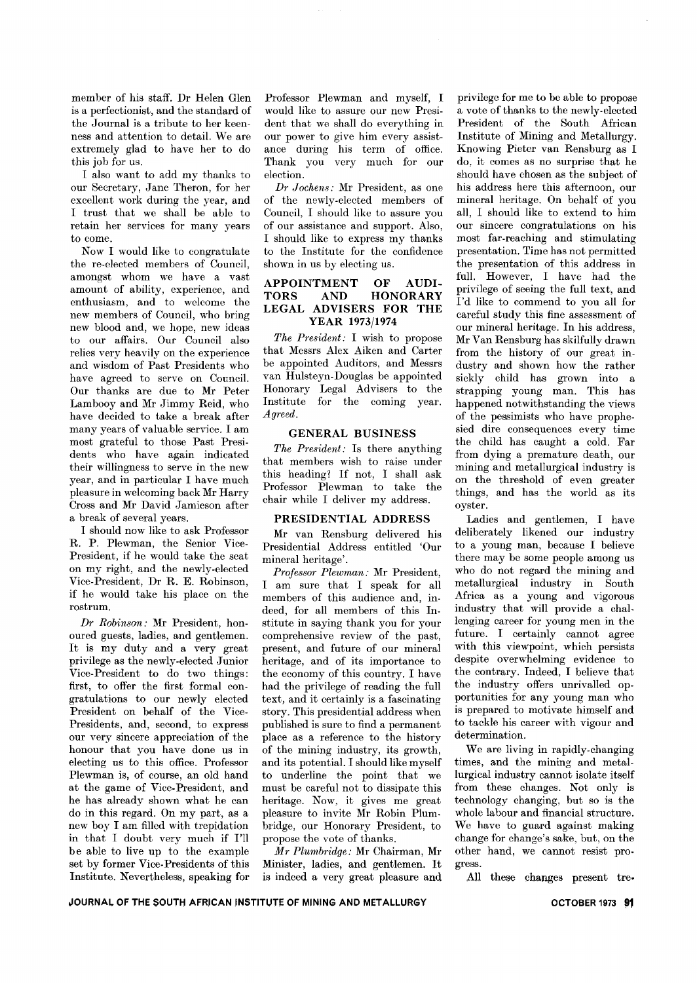mem ber of his staff. Dr Helen Glen is a perfectionist, and the standard of the Journal is a tribute to her keenness and attention to detail. We are extremely glad to have her to do this job for us.

I also want to add my thanks to our Secretary, Jane Theron, for her excellent work during the year, and I trust that we shall be able to retain her services for many years to come.

Now I would like to congratulate the re-elected members of Council, amongst whom we have a vast amount of ability, experience, and enthusiasm, and to welcome the new members of Council, who bring new blood and, we hope, new ideas to our affairs. Our Council also relies very heavily on the experience and wisdom of Past Presidents who have agreed to serve on Council. Our thanks are due to Mr Peter Lambooy and Mr Jimmy Reid, who have decided to take a break after many years of valuable service. I am most grateful to those Past Presidents who have again indicated their willingness to serve in the new year, and in particular I have much pleasure in welcoming back Mr Harry Cross and Mr David Jamieson after a break of several years.

I should now like to ask Professor R. P. Plewman, the Senior Vice-President, if he would take the seat on my right, and the newly-elected Vice-President, Dr R. E. Robinson, if he would take his place on the rostrum.

*Dr Robinson..* Mr President, honoured guests, ladies, and gentlemen. It is my duty and a very great privilege as the newly-elected Junior Vice-President to do two things: first, to offer the first formal congratulations to our newly elected President on behalf of the Vice-Presidents, and, second, to express our very sincere appreciation of the honour that you have done us in electing us to this office. Professor Plewman is, of course, an old hand at the game of Vice-President, and he has already shown what he can do in this regard. On my part, as a new boy I am filled with trepidation in that I doubt very much if I'll be able to live up to the example set by former Vice-Presidents of this Institute. Nevertheless, speaking for Professor Plewman and myself, I would like to assure our new President that we shall do everything in our power to give him every assistance during his term of office. Thank you very much for our election.

*Dr J ochens..* Mr President, as one of the newly-elected members of Council, I should like to assure you of our assistance and support. Also, I should like to express my thanks to the Institute for the confidence shown in us by electing us.

### APPOINTMENT OF AUDI-TORS AND HONORARY LEGAL ADVISERS FOR THE YEAR 1973/1974

*The President..* I wish to propose that Messrs Alex Aiken and Carter be appointed Auditors, and Messrs van Hulsteyn-Douglas be appointed Honorary Legal Advisers to the Institute for the coming year. *Agreed.*

## GENERAL BUSINESS

*The President..* Is there anything that members wish to raise under this heading? If not, I shall ask Professor Plewman to take the chair while I deliver my address.

### PRESIDENTIAL ADDRESS

Mr van Rensburg delivered his Presidential Address entitled 'Our mineral heritage'.

*Professor Plewman:* Mr President, I am sure that I speak for all members of this audience and, indeed, for all members of this Institute in saying thank you for your comprehensive review of the past, present, and future of our mineral heritage, and of its importance to the economy of this country. I have had the privilege of reading the full text, and it certainly is a fascinating story. This presidential address when published is sure to find a permanent place as a reference to the history of the mining industry, its growth, and its potential. I should like myself to underline the point that we must be careful not to dissipate this heritage. Now, it gives me great pleasure to invite Mr Robin Plumbridge, our Honorary President, to propose the vote of thanks.

*M r Plumbridge..* Mr Chairman, Mr Minister, ladies, and gentlemen. It is indeed a very great pleasure and

privilege for me to be able to propose a vote of thanks to the newly-elected President of the South African Institute of Mining and Metallurgy. Knowing Pieter van Rensburg as I do, it comes as no surprise that he should have chosen as the subject of his address here this afternoon, our mineral heritage. On behalf of you all, I should like to extend to him our sincere congratulations on his most far-reaching and stimulating presentation. Time has not permitted the presentation of this address in full. However, I have had the privilege of seeing the full text, and 1'd like to commend to you all for careful study this fine assessment of our mineral heritage. In his address, Mr Van Rensburg has skilfully drawn from the history of our great industry and shown how the rather sickly child has grown into a strapping young man. This has happened notwithstanding the views of the pessimists who have prophesied dire consequences every time the child has caught a cold. Far from dying a premature death, our mining and metallurgical industry is on the threshold of even greater things, and has the world as its oyster.

Ladies and gentlemen, I have deliberately likened our industry to a young man, because I believe there may be some people among us who do not regard the mining and metallurgical industry in South Africa as a young and vigorous industry that will provide a challenging career for young men in the future. I certainly cannot agree with this viewpoint, which persists despite overwhelming evidence to the contrary. Indeed, I believe that the industry offers unrivalled opportunities for any young man who is prepared to motivate himself and to tackle his career with vigour and determination.

We are living in rapidly-changing times, and the mining and metallurgical industry cannot isolate itself from these changes. Not only is technology changing, but so is the whole labour and financial structure. We have to guard against making change for change's sake, but, on the other hand, we cannot resist pro. gress.

All these changes present tre-